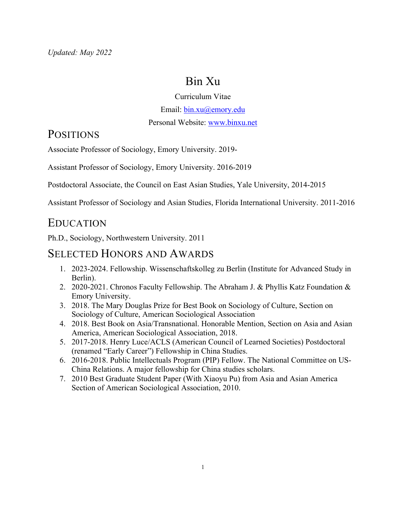# Bin Xu

#### Curriculum Vitae

Email: bin.xu@emory.edu

Personal Website: www.binxu.net

## **POSITIONS**

Associate Professor of Sociology, Emory University. 2019-

Assistant Professor of Sociology, Emory University. 2016-2019

Postdoctoral Associate, the Council on East Asian Studies, Yale University, 2014-2015

Assistant Professor of Sociology and Asian Studies, Florida International University. 2011-2016

### EDUCATION

Ph.D., Sociology, Northwestern University. 2011

### SELECTED HONORS AND AWARDS

- 1. 2023-2024. Fellowship. Wissenschaftskolleg zu Berlin (Institute for Advanced Study in Berlin).
- 2. 2020-2021. Chronos Faculty Fellowship. The Abraham J. & Phyllis Katz Foundation & Emory University.
- 3. 2018. The Mary Douglas Prize for Best Book on Sociology of Culture, Section on Sociology of Culture, American Sociological Association
- 4. 2018. Best Book on Asia/Transnational. Honorable Mention, Section on Asia and Asian America, American Sociological Association, 2018.
- 5. 2017-2018. Henry Luce/ACLS (American Council of Learned Societies) Postdoctoral (renamed "Early Career") Fellowship in China Studies.
- 6. 2016-2018. Public Intellectuals Program (PIP) Fellow. The National Committee on US-China Relations. A major fellowship for China studies scholars.
- 7. 2010 Best Graduate Student Paper (With Xiaoyu Pu) from Asia and Asian America Section of American Sociological Association, 2010.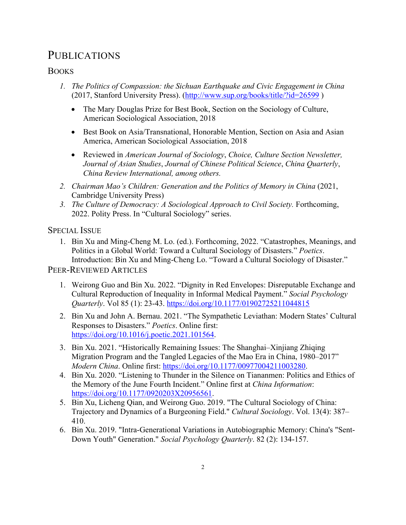## PUBLICATIONS

### **BOOKS**

- *1. The Politics of Compassion: the Sichuan Earthquake and Civic Engagement in China* (2017, Stanford University Press). (http://www.sup.org/books/title/?id=26599 )
	- The Mary Douglas Prize for Best Book, Section on the Sociology of Culture, American Sociological Association, 2018
	- Best Book on Asia/Transnational, Honorable Mention, Section on Asia and Asian America, American Sociological Association, 2018
	- Reviewed in *American Journal of Sociology*, *Choice, Culture Section Newsletter, Journal of Asian Studies*, *Journal of Chinese Political Science*, *China Quarterly*, *China Review International, among others.*
- *2. Chairman Mao's Children: Generation and the Politics of Memory in China* (2021, Cambridge University Press)
- *3. The Culture of Democracy: A Sociological Approach to Civil Society.* Forthcoming, 2022. Polity Press. In "Cultural Sociology" series.

SPECIAL ISSUE

1. Bin Xu and Ming-Cheng M. Lo. (ed.). Forthcoming, 2022. "Catastrophes, Meanings, and Politics in a Global World: Toward a Cultural Sociology of Disasters." *Poetics*. Introduction: Bin Xu and Ming-Cheng Lo. "Toward a Cultural Sociology of Disaster."

PEER-REVIEWED ARTICLES

- 1. Weirong Guo and Bin Xu. 2022. "Dignity in Red Envelopes: Disreputable Exchange and Cultural Reproduction of Inequality in Informal Medical Payment." *Social Psychology Quarterly*. Vol 85 (1): 23-43. https://doi.org/10.1177/01902725211044815
- 2. Bin Xu and John A. Bernau. 2021. "The Sympathetic Leviathan: Modern States' Cultural Responses to Disasters." *Poetics*. Online first: https://doi.org/10.1016/j.poetic.2021.101564.
- 3. Bin Xu. 2021. "Historically Remaining Issues: The Shanghai–Xinjiang Zhiqing Migration Program and the Tangled Legacies of the Mao Era in China, 1980–2017" *Modern China*. Online first: https://doi.org/10.1177/00977004211003280.
- 4. Bin Xu. 2020. "Listening to Thunder in the Silence on Tiananmen: Politics and Ethics of the Memory of the June Fourth Incident." Online first at *China Information*: https://doi.org/10.1177/0920203X20956561.
- 5. Bin Xu, Licheng Qian, and Weirong Guo. 2019. "The Cultural Sociology of China: Trajectory and Dynamics of a Burgeoning Field." *Cultural Sociology*. Vol. 13(4): 387– 410.
- 6. Bin Xu. 2019. "Intra-Generational Variations in Autobiographic Memory: China's "Sent-Down Youth" Generation." *Social Psychology Quarterly*. 82 (2): 134-157.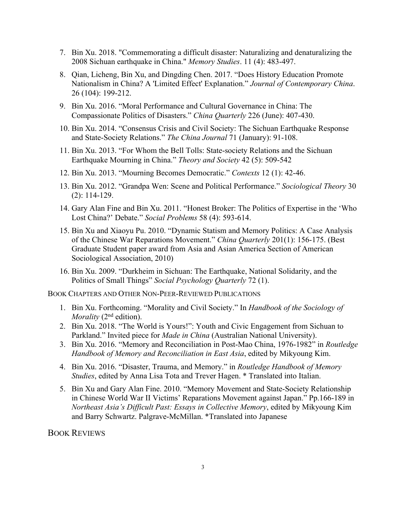- 7. Bin Xu. 2018. "Commemorating a difficult disaster: Naturalizing and denaturalizing the 2008 Sichuan earthquake in China." *Memory Studies*. 11 (4): 483-497.
- 8. Qian, Licheng, Bin Xu, and Dingding Chen. 2017. "Does History Education Promote Nationalism in China? A 'Limited Effect' Explanation." *Journal of Contemporary China*. 26 (104): 199-212.
- 9. Bin Xu. 2016. "Moral Performance and Cultural Governance in China: The Compassionate Politics of Disasters." *China Quarterly* 226 (June): 407-430.
- 10. Bin Xu. 2014. "Consensus Crisis and Civil Society: The Sichuan Earthquake Response and State-Society Relations." *The China Journal* 71 (January): 91-108.
- 11. Bin Xu. 2013. "For Whom the Bell Tolls: State-society Relations and the Sichuan Earthquake Mourning in China." *Theory and Society* 42 (5): 509-542
- 12. Bin Xu. 2013. "Mourning Becomes Democratic." *Contexts* 12 (1): 42-46.
- 13. Bin Xu. 2012. "Grandpa Wen: Scene and Political Performance." *Sociological Theory* 30 (2): 114-129.
- 14. Gary Alan Fine and Bin Xu. 2011. "Honest Broker: The Politics of Expertise in the 'Who Lost China?' Debate." *Social Problems* 58 (4): 593-614.
- 15. Bin Xu and Xiaoyu Pu. 2010. "Dynamic Statism and Memory Politics: A Case Analysis of the Chinese War Reparations Movement." *China Quarterly* 201(1): 156-175. (Best Graduate Student paper award from Asia and Asian America Section of American Sociological Association, 2010)
- 16. Bin Xu. 2009. "Durkheim in Sichuan: The Earthquake, National Solidarity, and the Politics of Small Things" *Social Psychology Quarterly* 72 (1).

BOOK CHAPTERS AND OTHER NON-PEER-REVIEWED PUBLICATIONS

- 1. Bin Xu. Forthcoming. "Morality and Civil Society." In *Handbook of the Sociology of Morality* (2<sup>nd</sup> edition).
- 2. Bin Xu. 2018. "The World is Yours!": Youth and Civic Engagement from Sichuan to Parkland." Invited piece for *Made in China* (Australian National University).
- 3. Bin Xu. 2016. "Memory and Reconciliation in Post-Mao China, 1976-1982" in *Routledge Handbook of Memory and Reconciliation in East Asia*, edited by Mikyoung Kim.
- 4. Bin Xu. 2016. "Disaster, Trauma, and Memory." in *Routledge Handbook of Memory Studies*, edited by Anna Lisa Tota and Trever Hagen. \* Translated into Italian.
- 5. Bin Xu and Gary Alan Fine. 2010. "Memory Movement and State-Society Relationship in Chinese World War II Victims' Reparations Movement against Japan." Pp.166-189 in *Northeast Asia's Difficult Past: Essays in Collective Memory*, edited by Mikyoung Kim and Barry Schwartz. Palgrave-McMillan. \*Translated into Japanese

BOOK REVIEWS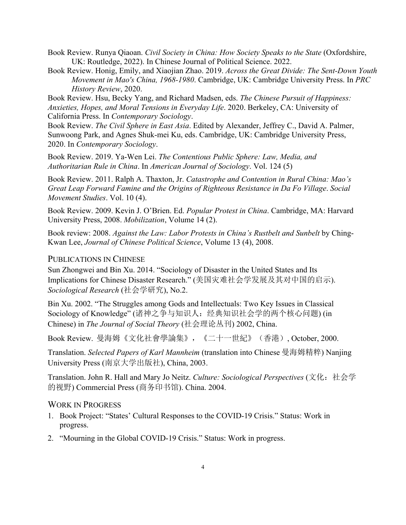Book Review. Runya Qiaoan. *Civil Society in China: How Society Speaks to the State* (Oxfordshire, UK: Routledge, 2022). In Chinese Journal of Political Science. 2022.

Book Review. Honig, Emily, and Xiaojian Zhao. 2019. *Across the Great Divide: The Sent-Down Youth Movement in Mao's China, 1968-1980*. Cambridge, UK: Cambridge University Press. In *PRC History Review*, 2020.

Book Review. Hsu, Becky Yang, and Richard Madsen, eds. *The Chinese Pursuit of Happiness: Anxieties, Hopes, and Moral Tensions in Everyday Life*. 2020. Berkeley, CA: University of California Press. In *Contemporary Sociology*.

Book Review. *The Civil Sphere in East Asia*. Edited by Alexander, Jeffrey C., David A. Palmer, Sunwoong Park, and Agnes Shuk-mei Ku, eds. Cambridge, UK: Cambridge University Press, 2020. In *Contemporary Sociology*.

Book Review. 2019. Ya-Wen Lei. *The Contentious Public Sphere: Law, Media, and Authoritarian Rule in China*. In *American Journal of Sociology*. Vol. 124 (5)

Book Review. 2011. Ralph A. Thaxton, Jr. *Catastrophe and Contention in Rural China: Mao's Great Leap Forward Famine and the Origins of Righteous Resistance in Da Fo Village*. *Social Movement Studies*. Vol. 10 (4).

Book Review. 2009. Kevin J. O'Brien. Ed. *Popular Protest in China*. Cambridge, MA: Harvard University Press, 2008. *Mobilization*, Volume 14 (2).

Book review: 2008. *Against the Law: Labor Protests in China's Rustbelt and Sunbelt* by Ching-Kwan Lee, *Journal of Chinese Political Science*, Volume 13 (4), 2008.

#### PUBLICATIONS IN CHINESE

Sun Zhongwei and Bin Xu. 2014. "Sociology of Disaster in the United States and Its Implications for Chinese Disaster Research." (美国灾难社会学发展及其对中国的启示). *Sociological Research* (社会学研究), No.2.

Bin Xu. 2002. "The Struggles among Gods and Intellectuals: Two Key Issues in Classical Sociology of Knowledge" (诸神之争与知识人:经典知识社会学的两个核心问题) (in Chinese) in *The Journal of Social Theory* (社会理论丛刊) 2002, China.

Book Review. 曼海姆《文化社會學論集》,《二十一世紀》(香港), October, 2000.

Translation. *Selected Papers of Karl Mannheim* (translation into Chinese 曼海姆精粹) Nanjing University Press (南京大学出版社), China, 2003.

Translation. John R. Hall and Mary Jo Neitz. *Culture: Sociological Perspectives* (文化:社会学 的视野) Commercial Press (商务印书馆). China. 2004.

#### WORK IN PROGRESS

- 1. Book Project: "States' Cultural Responses to the COVID-19 Crisis." Status: Work in progress.
- 2. "Mourning in the Global COVID-19 Crisis." Status: Work in progress.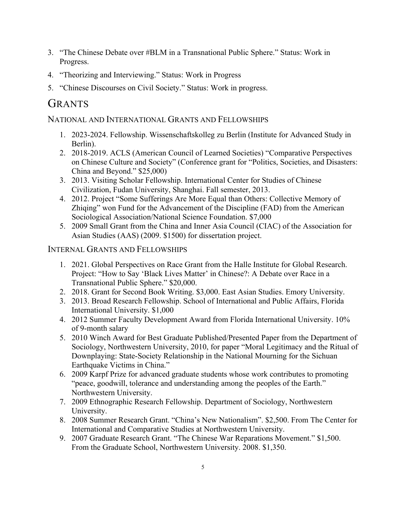- 3. "The Chinese Debate over #BLM in a Transnational Public Sphere." Status: Work in Progress.
- 4. "Theorizing and Interviewing." Status: Work in Progress
- 5. "Chinese Discourses on Civil Society." Status: Work in progress.

# GRANTS

### NATIONAL AND INTERNATIONAL GRANTS AND FELLOWSHIPS

- 1. 2023-2024. Fellowship. Wissenschaftskolleg zu Berlin (Institute for Advanced Study in Berlin).
- 2. 2018-2019. ACLS (American Council of Learned Societies) "Comparative Perspectives on Chinese Culture and Society" (Conference grant for "Politics, Societies, and Disasters: China and Beyond." \$25,000)
- 3. 2013. Visiting Scholar Fellowship. International Center for Studies of Chinese Civilization, Fudan University, Shanghai. Fall semester, 2013.
- 4. 2012. Project "Some Sufferings Are More Equal than Others: Collective Memory of Zhiqing" won Fund for the Advancement of the Discipline (FAD) from the American Sociological Association/National Science Foundation. \$7,000
- 5. 2009 Small Grant from the China and Inner Asia Council (CIAC) of the Association for Asian Studies (AAS) (2009. \$1500) for dissertation project.

### INTERNAL GRANTS AND FELLOWSHIPS

- 1. 2021. Global Perspectives on Race Grant from the Halle Institute for Global Research. Project: "How to Say 'Black Lives Matter' in Chinese?: A Debate over Race in a Transnational Public Sphere." \$20,000.
- 2. 2018. Grant for Second Book Writing. \$3,000. East Asian Studies. Emory University.
- 3. 2013. Broad Research Fellowship. School of International and Public Affairs, Florida International University. \$1,000
- 4. 2012 Summer Faculty Development Award from Florida International University. 10% of 9-month salary
- 5. 2010 Winch Award for Best Graduate Published/Presented Paper from the Department of Sociology, Northwestern University, 2010, for paper "Moral Legitimacy and the Ritual of Downplaying: State-Society Relationship in the National Mourning for the Sichuan Earthquake Victims in China."
- 6. 2009 Karpf Prize for advanced graduate students whose work contributes to promoting "peace, goodwill, tolerance and understanding among the peoples of the Earth." Northwestern University.
- 7. 2009 Ethnographic Research Fellowship. Department of Sociology, Northwestern University.
- 8. 2008 Summer Research Grant. "China's New Nationalism". \$2,500. From The Center for International and Comparative Studies at Northwestern University.
- 9. 2007 Graduate Research Grant. "The Chinese War Reparations Movement." \$1,500. From the Graduate School, Northwestern University. 2008. \$1,350.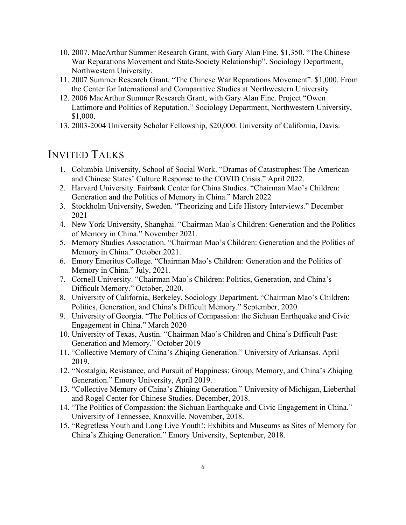- 10. 2007. MacArthur Summer Research Grant, with Gary Alan Fine. \$1,350. "The Chinese War Reparations Movement and State-Society Relationship". Sociology Department, Northwestern University.
- 11. 2007 Summer Research Grant. "The Chinese War Reparations Movement". \$1,000. From the Center for International and Comparative Studies at Northwestern University.
- 12. 2006 MacArthur Summer Research Grant, with Gary Alan Fine. Project "Owen Lattimore and Politics of Reputation." Sociology Department, Northwestern University, \$1,000.
- 13. 2003-2004 University Scholar Fellowship, \$20,000. University of California, Davis.

### INVITED TALKS

- 1. Columbia University, School of Social Work. "Dramas of Catastrophes: The American and Chinese States' Culture Response to the COVID Crisis." April 2022.
- 2. Harvard University. Fairbank Center for China Studies. "Chairman Mao's Children: Generation and the Politics of Memory in China." March 2022
- 3. Stockholm University, Sweden. "Theorizing and Life History Interviews." December 2021
- 4. New York University, Shanghai. "Chairman Mao's Children: Generation and the Politics of Memory in China." November 2021.
- 5. Memory Studies Association. "Chairman Mao's Children: Generation and the Politics of Memory in China." October 2021.
- 6. Emory Emeritus College. "Chairman Mao's Children: Generation and the Politics of Memory in China." July, 2021.
- 7. Cornell University. "Chairman Mao's Children: Politics, Generation, and China's Difficult Memory." October, 2020.
- 8. University of California, Berkeley, Sociology Department. "Chairman Mao's Children: Politics, Generation, and China's Difficult Memory." September, 2020.
- 9. University of Georgia. "The Politics of Compassion: the Sichuan Earthquake and Civic Engagement in China." March 2020
- 10. University of Texas, Austin. "Chairman Mao's Children and China's Difficult Past: Generation and Memory." October 2019
- 11. "Collective Memory of China's Zhiqing Generation." University of Arkansas. April 2019.
- 12. "Nostalgia, Resistance, and Pursuit of Happiness: Group, Memory, and China's Zhiqing Generation." Emory University, April 2019.
- 13. "Collective Memory of China's Zhiqing Generation." University of Michigan, Lieberthal and Rogel Center for Chinese Studies. December, 2018.
- 14. "The Politics of Compassion: the Sichuan Earthquake and Civic Engagement in China." University of Tennessee, Knoxville. November, 2018.
- 15. "Regretless Youth and Long Live Youth!: Exhibits and Museums as Sites of Memory for China's Zhiqing Generation." Emory University, September, 2018.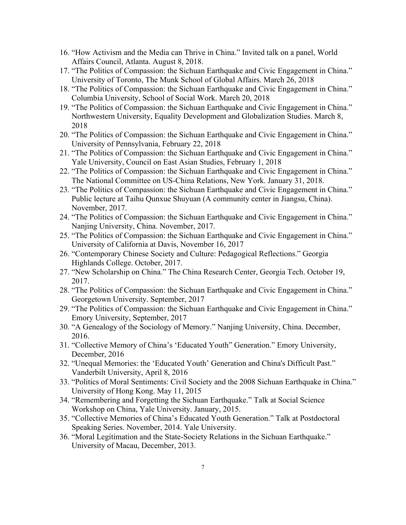- 16. "How Activism and the Media can Thrive in China." Invited talk on a panel, World Affairs Council, Atlanta. August 8, 2018.
- 17. "The Politics of Compassion: the Sichuan Earthquake and Civic Engagement in China." University of Toronto, The Munk School of Global Affairs. March 26, 2018
- 18. "The Politics of Compassion: the Sichuan Earthquake and Civic Engagement in China." Columbia University, School of Social Work. March 20, 2018
- 19. "The Politics of Compassion: the Sichuan Earthquake and Civic Engagement in China." Northwestern University, Equality Development and Globalization Studies. March 8, 2018
- 20. "The Politics of Compassion: the Sichuan Earthquake and Civic Engagement in China." University of Pennsylvania, February 22, 2018
- 21. "The Politics of Compassion: the Sichuan Earthquake and Civic Engagement in China." Yale University, Council on East Asian Studies, February 1, 2018
- 22. "The Politics of Compassion: the Sichuan Earthquake and Civic Engagement in China." The National Committee on US-China Relations, New York. January 31, 2018.
- 23. "The Politics of Compassion: the Sichuan Earthquake and Civic Engagement in China." Public lecture at Taihu Qunxue Shuyuan (A community center in Jiangsu, China). November, 2017.
- 24. "The Politics of Compassion: the Sichuan Earthquake and Civic Engagement in China." Nanjing University, China. November, 2017.
- 25. "The Politics of Compassion: the Sichuan Earthquake and Civic Engagement in China." University of California at Davis, November 16, 2017
- 26. "Contemporary Chinese Society and Culture: Pedagogical Reflections." Georgia Highlands College. October, 2017.
- 27. "New Scholarship on China." The China Research Center, Georgia Tech. October 19, 2017.
- 28. "The Politics of Compassion: the Sichuan Earthquake and Civic Engagement in China." Georgetown University. September, 2017
- 29. "The Politics of Compassion: the Sichuan Earthquake and Civic Engagement in China." Emory University, September, 2017
- 30. "A Genealogy of the Sociology of Memory." Nanjing University, China. December, 2016.
- 31. "Collective Memory of China's 'Educated Youth" Generation." Emory University, December, 2016
- 32. "Unequal Memories: the 'Educated Youth' Generation and China's Difficult Past." Vanderbilt University, April 8, 2016
- 33. "Politics of Moral Sentiments: Civil Society and the 2008 Sichuan Earthquake in China." University of Hong Kong. May 11, 2015
- 34. "Remembering and Forgetting the Sichuan Earthquake." Talk at Social Science Workshop on China, Yale University. January, 2015.
- 35. "Collective Memories of China's Educated Youth Generation." Talk at Postdoctoral Speaking Series. November, 2014. Yale University.
- 36. "Moral Legitimation and the State-Society Relations in the Sichuan Earthquake." University of Macau, December, 2013.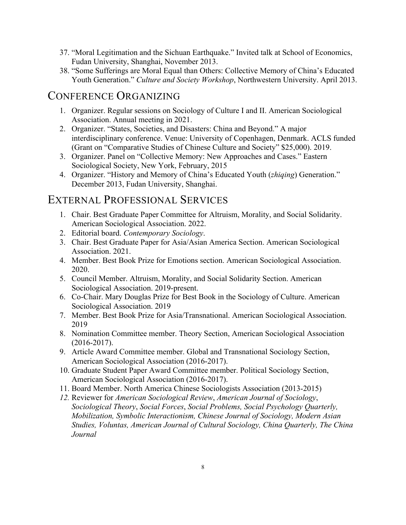- 37. "Moral Legitimation and the Sichuan Earthquake." Invited talk at School of Economics, Fudan University, Shanghai, November 2013.
- 38. "Some Sufferings are Moral Equal than Others: Collective Memory of China's Educated Youth Generation." *Culture and Society Workshop*, Northwestern University. April 2013.

### CONFERENCE ORGANIZING

- 1. Organizer. Regular sessions on Sociology of Culture I and II. American Sociological Association. Annual meeting in 2021.
- 2. Organizer. "States, Societies, and Disasters: China and Beyond." A major interdisciplinary conference. Venue: University of Copenhagen, Denmark. ACLS funded (Grant on "Comparative Studies of Chinese Culture and Society" \$25,000). 2019.
- 3. Organizer. Panel on "Collective Memory: New Approaches and Cases." Eastern Sociological Society, New York, February, 2015
- 4. Organizer. "History and Memory of China's Educated Youth (*zhiqing*) Generation." December 2013, Fudan University, Shanghai.

## EXTERNAL PROFESSIONAL SERVICES

- 1. Chair. Best Graduate Paper Committee for Altruism, Morality, and Social Solidarity. American Sociological Association. 2022.
- 2. Editorial board. *Contemporary Sociology*.
- 3. Chair. Best Graduate Paper for Asia/Asian America Section. American Sociological Association. 2021.
- 4. Member. Best Book Prize for Emotions section. American Sociological Association. 2020.
- 5. Council Member. Altruism, Morality, and Social Solidarity Section. American Sociological Association. 2019-present.
- 6. Co-Chair. Mary Douglas Prize for Best Book in the Sociology of Culture. American Sociological Association. 2019
- 7. Member. Best Book Prize for Asia/Transnational. American Sociological Association. 2019
- 8. Nomination Committee member. Theory Section, American Sociological Association (2016-2017).
- 9. Article Award Committee member. Global and Transnational Sociology Section, American Sociological Association (2016-2017).
- 10. Graduate Student Paper Award Committee member. Political Sociology Section, American Sociological Association (2016-2017).
- 11. Board Member. North America Chinese Sociologists Association (2013-2015)
- *12.* Reviewer for *American Sociological Review*, *American Journal of Sociology*, *Sociological Theory*, *Social Forces*, *Social Problems, Social Psychology Quarterly, Mobilization, Symbolic Interactionism, Chinese Journal of Sociology, Modern Asian Studies, Voluntas, American Journal of Cultural Sociology, China Quarterly, The China Journal*